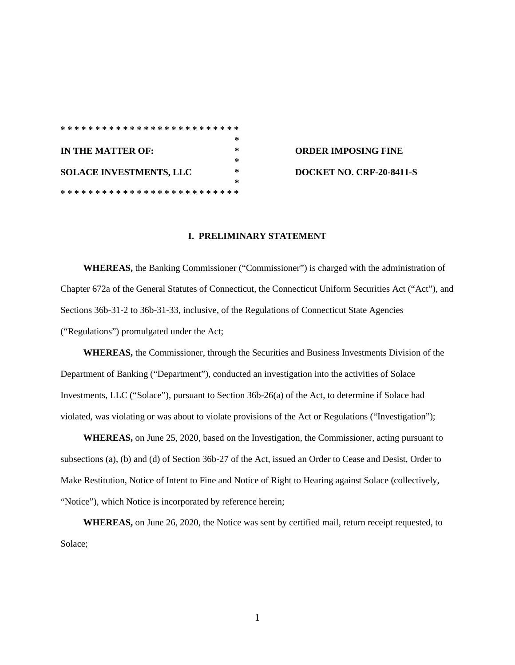|                         |  |  |  |  |  |  |  |  |  |  |  | ************************** |  |  |   |   |  |  |  |        |
|-------------------------|--|--|--|--|--|--|--|--|--|--|--|----------------------------|--|--|---|---|--|--|--|--------|
|                         |  |  |  |  |  |  |  |  |  |  |  |                            |  |  |   |   |  |  |  | $\ast$ |
| IN THE MATTER OF:       |  |  |  |  |  |  |  |  |  |  |  |                            |  |  |   | * |  |  |  |        |
|                         |  |  |  |  |  |  |  |  |  |  |  |                            |  |  |   |   |  |  |  | ∗      |
| SOLACE INVESTMENTS, LLC |  |  |  |  |  |  |  |  |  |  |  |                            |  |  | ∗ |   |  |  |  |        |
|                         |  |  |  |  |  |  |  |  |  |  |  |                            |  |  |   |   |  |  |  | $\ast$ |
|                         |  |  |  |  |  |  |  |  |  |  |  |                            |  |  |   |   |  |  |  |        |

**IN THE MATTER OF: \* ORDER IMPOSING FINE SOLACE INVESTMENTS, LLC \* DOCKET NO. CRF-20-8411-S**

## **I. PRELIMINARY STATEMENT**

**WHEREAS,** the Banking Commissioner ("Commissioner") is charged with the administration of Chapter 672a of the General Statutes of Connecticut, the Connecticut Uniform Securities Act ("Act"), and Sections 36b-31-2 to 36b-31-33, inclusive, of the Regulations of Connecticut State Agencies ("Regulations") promulgated under the Act;

**WHEREAS,** the Commissioner, through the Securities and Business Investments Division of the Department of Banking ("Department"), conducted an investigation into the activities of Solace Investments, LLC ("Solace"), pursuant to Section 36b-26(a) of the Act, to determine if Solace had violated, was violating or was about to violate provisions of the Act or Regulations ("Investigation");

**WHEREAS,** on June 25, 2020, based on the Investigation, the Commissioner, acting pursuant to subsections (a), (b) and (d) of Section 36b-27 of the Act, issued an Order to Cease and Desist, Order to Make Restitution, Notice of Intent to Fine and Notice of Right to Hearing against Solace (collectively, "Notice"), which Notice is incorporated by reference herein;

**WHEREAS,** on June 26, 2020, the Notice was sent by certified mail, return receipt requested, to Solace;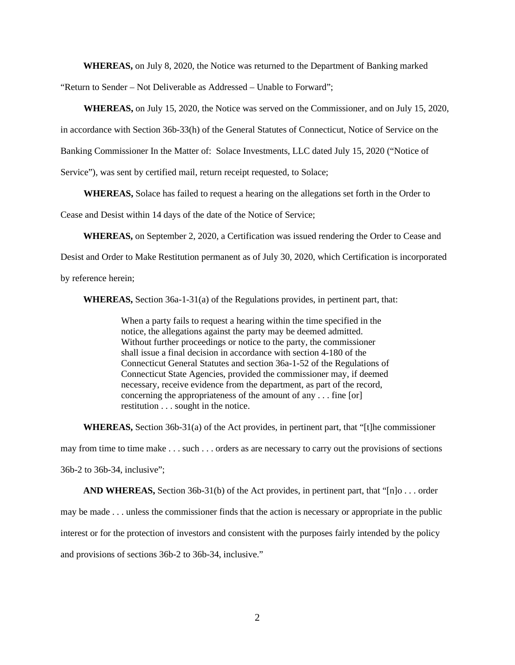**WHEREAS,** on July 8, 2020, the Notice was returned to the Department of Banking marked

"Return to Sender – Not Deliverable as Addressed – Unable to Forward";

**WHEREAS,** on July 15, 2020, the Notice was served on the Commissioner, and on July 15, 2020,

in accordance with Section 36b-33(h) of the General Statutes of Connecticut, Notice of Service on the

Banking Commissioner In the Matter of: Solace Investments, LLC dated July 15, 2020 ("Notice of

Service"), was sent by certified mail, return receipt requested, to Solace;

**WHEREAS,** Solace has failed to request a hearing on the allegations set forth in the Order to

Cease and Desist within 14 days of the date of the Notice of Service;

**WHEREAS,** on September 2, 2020, a Certification was issued rendering the Order to Cease and

Desist and Order to Make Restitution permanent as of July 30, 2020, which Certification is incorporated

by reference herein;

**WHEREAS,** Section 36a-1-31(a) of the Regulations provides, in pertinent part, that:

When a party fails to request a hearing within the time specified in the notice, the allegations against the party may be deemed admitted. Without further proceedings or notice to the party, the commissioner shall issue a final decision in accordance with section 4-180 of the Connecticut General Statutes and section 36a-1-52 of the Regulations of Connecticut State Agencies, provided the commissioner may, if deemed necessary, receive evidence from the department, as part of the record, concerning the appropriateness of the amount of any . . . fine [or] restitution . . . sought in the notice.

**WHEREAS,** Section 36b-31(a) of the Act provides, in pertinent part, that "[t]he commissioner may from time to time make . . . such . . . orders as are necessary to carry out the provisions of sections 36b-2 to 36b-34, inclusive";

**AND WHEREAS,** Section 36b-31(b) of the Act provides, in pertinent part, that "[n]o . . . order may be made . . . unless the commissioner finds that the action is necessary or appropriate in the public interest or for the protection of investors and consistent with the purposes fairly intended by the policy and provisions of sections 36b-2 to 36b-34, inclusive."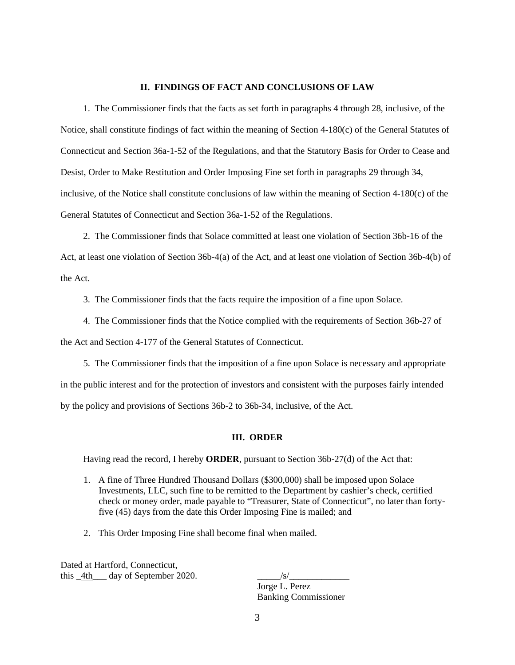## **II. FINDINGS OF FACT AND CONCLUSIONS OF LAW**

1. The Commissioner finds that the facts as set forth in paragraphs 4 through 28, inclusive, of the Notice, shall constitute findings of fact within the meaning of Section 4-180(c) of the General Statutes of Connecticut and Section 36a-1-52 of the Regulations, and that the Statutory Basis for Order to Cease and Desist, Order to Make Restitution and Order Imposing Fine set forth in paragraphs 29 through 34, inclusive, of the Notice shall constitute conclusions of law within the meaning of Section 4-180(c) of the General Statutes of Connecticut and Section 36a-1-52 of the Regulations.

2. The Commissioner finds that Solace committed at least one violation of Section 36b-16 of the Act, at least one violation of Section 36b-4(a) of the Act, and at least one violation of Section 36b-4(b) of the Act.

3. The Commissioner finds that the facts require the imposition of a fine upon Solace.

4. The Commissioner finds that the Notice complied with the requirements of Section 36b-27 of the Act and Section 4-177 of the General Statutes of Connecticut.

5. The Commissioner finds that the imposition of a fine upon Solace is necessary and appropriate in the public interest and for the protection of investors and consistent with the purposes fairly intended by the policy and provisions of Sections 36b-2 to 36b-34, inclusive, of the Act.

## **III. ORDER**

Having read the record, I hereby **ORDER**, pursuant to Section 36b-27(d) of the Act that:

- 1. A fine of Three Hundred Thousand Dollars (\$300,000) shall be imposed upon Solace Investments, LLC, such fine to be remitted to the Department by cashier's check, certified check or money order, made payable to "Treasurer, State of Connecticut", no later than fortyfive (45) days from the date this Order Imposing Fine is mailed; and
- 2. This Order Imposing Fine shall become final when mailed.

Dated at Hartford, Connecticut, this  $4th$  day of September 2020.  $\frac{s}{s}$ 

Jorge L. Perez

Banking Commissioner